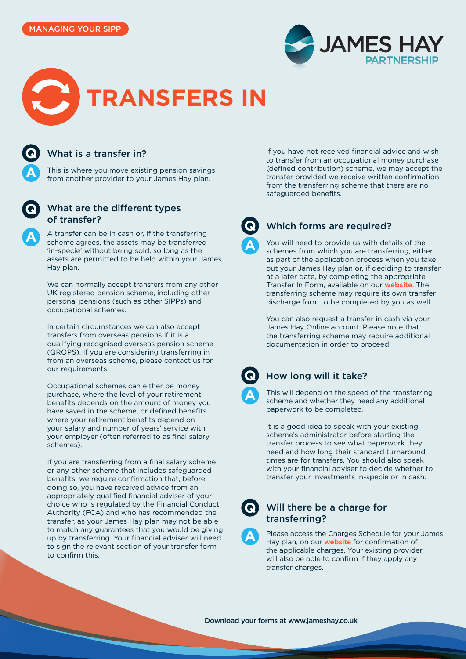





## What is a transfer in?

This is where you move existing pension savings from another provider to your James Hay plan.



**A**

# What are the different types of transfer?

A transfer can be in cash or, if the transferring scheme agrees, the assets may be transferred 'in-specie' without being sold, so long as the assets are permitted to be held within your James Hay plan.

We can normally accept transfers from any other UK registered pension scheme, including other personal pensions (such as other SIPPs) and occupational schemes.

In certain circumstances we can also accept transfers from overseas pensions if it is a qualifying recognised overseas pension scheme (QROPS). If you are considering transferring in from an overseas scheme, please contact us for our requirements.

Occupational schemes can either be money purchase, where the level of your retirement benefits depends on the amount of money you have saved in the scheme, or defined benefits where your retirement benefits depend on your salary and number of years' service with your employer (often referred to as final salary schemes).

If you are transferring from a final salary scheme or any other scheme that includes safeguarded benefits, we require confirmation that, before doing so, you have received advice from an appropriately qualified financial adviser of your choice who is regulated by the Financial Conduct Authority (FCA) and who has recommended the transfer, as your James Hay plan may not be able to match any guarantees that you would be giving up by transferring. Your financial adviser will need to sign the relevant section of your transfer form to confirm this.

If you have not received financial advice and wish to transfer from an occupational money purchase (defined contribution) scheme, we may accept the transfer provided we receive written confirmation from the transferring scheme that there are no safeguarded benefits.



### Which forms are required?

You will need to provide us with details of the schemes from which you are transferring, either as part of the application process when you take out your James Hay plan or, if deciding to transfer at a later date, by completing the appropriate Transfer In Form, available on our [website](https://www.jameshay.co.uk/product-literature/literature/literature/). The transferring scheme may require its own transfer discharge form to be completed by you as well.

You can also request a transfer in cash via your James Hay Online account. Please note that the transferring scheme may require additional documentation in order to proceed.



### How long will it take?

This will depend on the speed of the transferring scheme and whether they need any additional paperwork to be completed.

It is a good idea to speak with your existing scheme's administrator before starting the transfer process to see what paperwork they need and how long their standard turnaround times are for transfers. You should also speak with your financial adviser to decide whether to transfer your investments in-specie or in cash.



**A**

#### Will there be a charge for transferring?

Please access the Charges Schedule for your James Hay plan, on our **[website](https://www.jameshay.co.uk/product-literature/literature/literature/)** for confirmation of the applicable charges. Your existing provider will also be able to confirm if they apply any transfer charges.